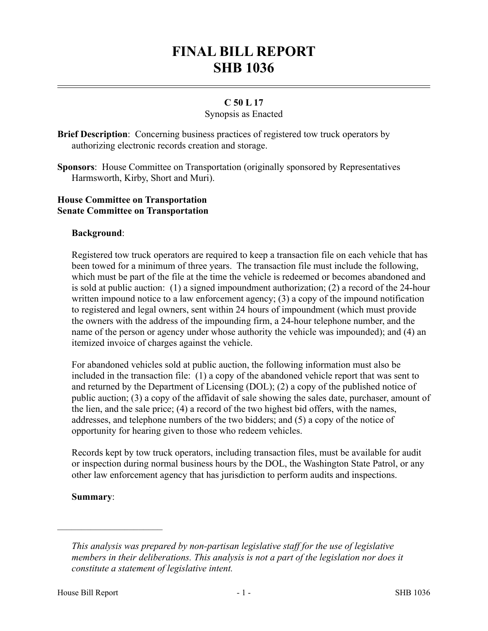# **FINAL BILL REPORT SHB 1036**

# **C 50 L 17**

#### Synopsis as Enacted

**Brief Description**: Concerning business practices of registered tow truck operators by authorizing electronic records creation and storage.

**Sponsors**: House Committee on Transportation (originally sponsored by Representatives Harmsworth, Kirby, Short and Muri).

#### **House Committee on Transportation Senate Committee on Transportation**

## **Background**:

Registered tow truck operators are required to keep a transaction file on each vehicle that has been towed for a minimum of three years. The transaction file must include the following, which must be part of the file at the time the vehicle is redeemed or becomes abandoned and is sold at public auction: (1) a signed impoundment authorization; (2) a record of the 24-hour written impound notice to a law enforcement agency; (3) a copy of the impound notification to registered and legal owners, sent within 24 hours of impoundment (which must provide the owners with the address of the impounding firm, a 24-hour telephone number, and the name of the person or agency under whose authority the vehicle was impounded); and (4) an itemized invoice of charges against the vehicle.

For abandoned vehicles sold at public auction, the following information must also be included in the transaction file: (1) a copy of the abandoned vehicle report that was sent to and returned by the Department of Licensing (DOL); (2) a copy of the published notice of public auction; (3) a copy of the affidavit of sale showing the sales date, purchaser, amount of the lien, and the sale price; (4) a record of the two highest bid offers, with the names, addresses, and telephone numbers of the two bidders; and (5) a copy of the notice of opportunity for hearing given to those who redeem vehicles.

Records kept by tow truck operators, including transaction files, must be available for audit or inspection during normal business hours by the DOL, the Washington State Patrol, or any other law enforcement agency that has jurisdiction to perform audits and inspections.

#### **Summary**:

––––––––––––––––––––––

*This analysis was prepared by non-partisan legislative staff for the use of legislative members in their deliberations. This analysis is not a part of the legislation nor does it constitute a statement of legislative intent.*